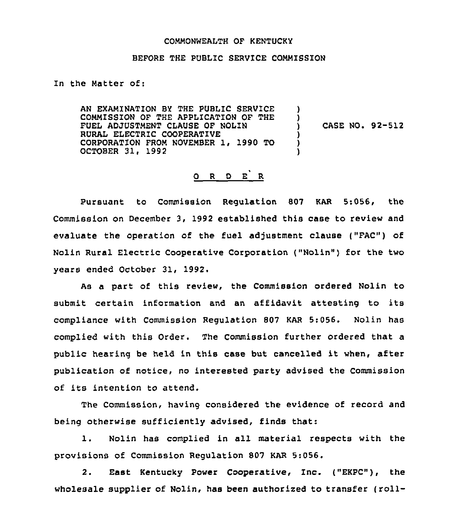#### COMMONWEALTH OF KENTUCKY

#### BEFORE THE PUBLIC SERVICE COMMISSION

In the Matter of:

AN EXAMINATION BY THE PUBLIC SERVICE COMMISSION OF THE APPLICATION OF THE FUEL ADJUSTMENT CLAUSE OF NOLIN RURAL ELECTRIC COOPERATIVE CORPORATION FROM NOVEMBER 1, 1990 TO OCTOBER 31, 1992 **)** ) ) CASE NO. 92-512 ) ) )

# O R D E R

Pursuant to Commission Regulation 807 KAR 5:056, the Commission on December 3, 1992 established this case to review and evaluate the operation of the fuel adjustment clause ("FAC") of Nolin Rural Electric Cooperative Corporation ("Nolin") for the two years ended October 31, 1992.

As a part of this review, the Commission ordered Nolin to submit certain information and an affidavit attesting to its compliance with Commission Requlation 807 KAR 5:056. Nolin has complied with this Order. The Commission further ordered that a public hearing be held in this case but cancelled it when, after publication of notice, no interested party advised the Commission of its intention to attend.

The Commission, having considered the evidence of record and being otherwise sufficiently advised, finds that:

1. Nolin has complied in all material respects with the provisions of Commission Regulation 807 KAR 5:056.

2. East Kentucky Power Cooperative, Inc. ("EKPC"), the wholesale supplier of Nolin, has been authorized to transfer (roll-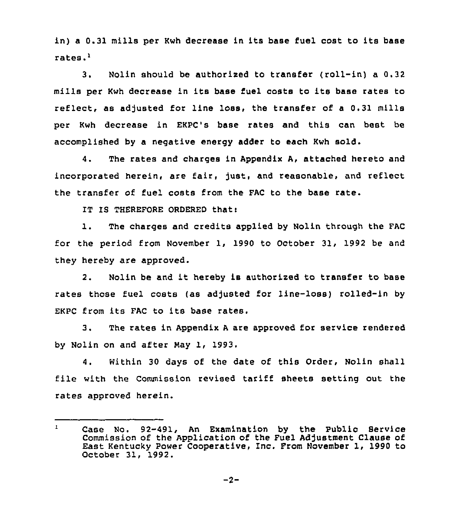in) <sup>a</sup> 0.31 mills per Kwh decrease in its base fuel cost to its base rates.'.

Nolin should be authorised to transfer (roll-in) a 0.32  $3.$ mills per Kwh decrease in its base fuel costs to its base rates to reflect, as adjusted for line loss, the transfer of a 0.31 mills per Kwh decrease in EKPC's base rates and this can best be accomplished by a negative energy adder to each Kwh sold.

4. The rates and charges in Appendix A, attached hereto and incorporated herein, are fair, just, and reasonable, and reflect the transfer of fuel costs from the FAC to the base rate.

IT IS THEREFORE ORDERED that:

1. The charges and credits applied by Nolin through the FAC for the period from November 1, 1990 to October 31, 1992 be and they hereby are approved.

2. Nolin be and it hereby is authorised to transfer to base rates those fuel costs (as adjusted for line-loss) rolled-in by EKPC from its FAC to its base rates.

3. The rates in Appendix <sup>A</sup> are approved for service rendered by Nolin on and after Nay 1, 1993.

4. Within 30 days of the date of this Order, Nolin shall file with the Commission revised tariff sheets setting out the rates approved herein.

Case No. 92-491, An Examination by the Public Service  $\mathbf{1}$ Commission of the Application of the Fuel Ad)ustment Clause of East Kentucky Power Cooperative, Inc. From November 1, 1990 to October 31, 1992.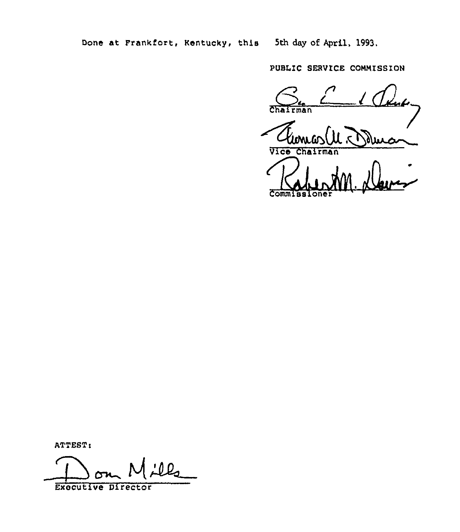Done at Frankfort, Kentucky, this 5th day of April, 1993,

PUBLIC SERVICE COMMISSION

Chairman Vice Cha Rubber<br>Commissione

ATTEST:

<u>:ll,</u>  $\overline{\phantom{a}}$ 

Executive Director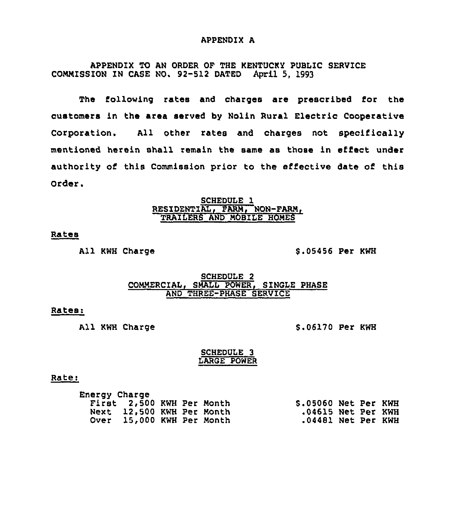#### APPENDIX A

APPENDIX TO AN ORDER OF THE KENTUCKY PUBLIC SERVICE COMMISSION IN CASE NQ. 92-512 DATED April 5, 1993

The following rates and charges are prescribed for the customers in the area served by Nolin Rural Electric Cooperative Corporation. All other rates and charges not specifically mentioned herein shall remain the same as those in effect under authority of this Commission prior to the effective date of this Order.

#### SCHEDULE 1 <u>RESIDENTIAL, FARM, NON-FARM</u> TRAILERS AND MOBILE HOMES

#### Rates

All KWH Charge S.05456 Per KWH

## SCHEDULE 2 COMMERCIAL, SMALL POWER, SINGLE PHASE AND THREE-PHASE SERVICE

# Rates:

All KWH Charge 9.06170 Per KWH

#### SCHEDULE 3 LARGE POWER

#### Rate:

| First 2,500 KWH Per Month<br>\$.05060 Net Per KWH |  |
|---------------------------------------------------|--|
| Next 12,500 KWH Per Month<br>.04615 Net Per KWH   |  |
| Over 15,000 KWH Per Month<br>.04481 Net Per KWH   |  |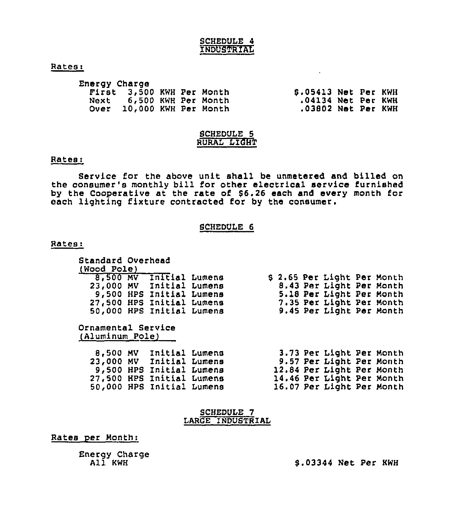#### SCHEDULE 4 INDUSTRIAL

#### Rates:

| Energy Charge |                           |  |                      |  |  |
|---------------|---------------------------|--|----------------------|--|--|
|               | First 3,500 KWH Per Month |  | \$.05413 Net Per KWH |  |  |
| Next          | 6,500 KWH Per Month       |  | .04134 Net Per KWH   |  |  |
|               | Over 10,000 KWH Per Month |  | $.03802$ Net Per KWH |  |  |

#### SCHEDULE 5 RURAL LIGHT

#### Rates:

Service for the above unit shall be unmetered and billed on the consumer's monthly bill for other electrical service furnished by the Cooperative at the rate of \$6.26 each and every month for each lighting fixture contracted for by the consumer.

#### SCHEDULE 6

#### Bates:

| Standard Overhead                     |  |                           |  |  |  |  |                             |  |
|---------------------------------------|--|---------------------------|--|--|--|--|-----------------------------|--|
| (Wood Pole)                           |  |                           |  |  |  |  |                             |  |
|                                       |  | 8,500 MV Initial Lumens   |  |  |  |  | \$ 2.65 Per Light Per Month |  |
|                                       |  | 23,000 MV Initial Lumens  |  |  |  |  | 8.43 Per Light Per Month    |  |
|                                       |  | 9,500 HPS Initial Lumens  |  |  |  |  | 5.18 Per Light Per Month    |  |
|                                       |  | 27,500 HPS Initial Lumens |  |  |  |  | 7.35 Per Light Per Month    |  |
|                                       |  | 50,000 HPS Initial Lumens |  |  |  |  | 9.45 Per Light Per Month    |  |
| Ornamental Service<br>(Aluminum Pole) |  |                           |  |  |  |  |                             |  |
|                                       |  | 8,500 MV Initial Lumens   |  |  |  |  | 3.73 Per Light Per Month    |  |
|                                       |  | 23,000 MV Initial Lumens  |  |  |  |  | 9.57 Per Light Per Month    |  |
|                                       |  | 9,500 HPS Initial Lumens  |  |  |  |  | 12.84 Per Light Per Month   |  |
|                                       |  | 27,500 HPS Initial Lumens |  |  |  |  | 14.46 Per Light Per Month   |  |
|                                       |  | 50,000 HPS Initial Lumens |  |  |  |  | 16.07 Per Light Per Month   |  |

| <b>SCHEDULE</b>  |  |
|------------------|--|
| LARGE INDUSTRIAL |  |

### Rates per Month:

Energy Charge Al<mark>í</mark> KWH

\$ .03344 Net Per KWH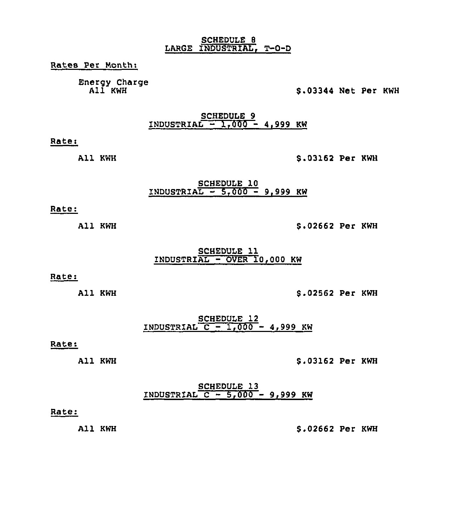#### SCHEDULE 8 LARGE INDUSTRIAL, T-D-D

Rates Per Month:

Energy Charge All KWH

# \$ .03344 Net Per KWH

SCHEDULE 9<br>1800 - 1,000 - 4,999 KW

Rate<

All KWH

\$ .03162 Per KWH

#### SCHEDULE 10  $INDUSTRIAL - 5,000 - 9,999$  KW

### Rate:

All KWH

\$ .02662 Per KWH

SCHEDULE 11 INDUSTRIAL - OVER 10,000 KW

#### Rate:

All KWH

\$ .02562 Per KWH

SCHEDULE 12 INDUSTRIAL  $C = 1,000 - 4,999$  KW

# Rate:

All KWH

#### \$ .03162 Per KWH

#### SCHEDULE 13  $INDUSTRIAL  $C = 5,000 - 9,999$  KW$

#### Rate:

All KWH

### \$ .02662 Per KWH